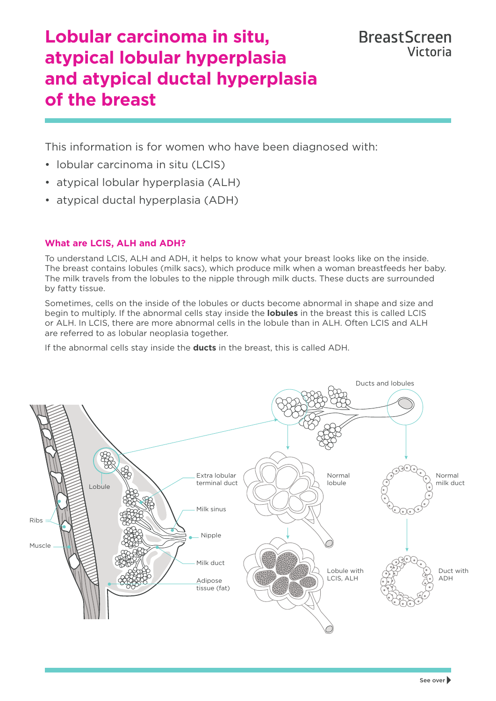# **Lobular carcinoma in situ, atypical lobular hyperplasia and atypical ductal hyperplasia of the breast**

This information is for women who have been diagnosed with:

- lobular carcinoma in situ (LCIS)
- atypical lobular hyperplasia (ALH)
- atypical ductal hyperplasia (ADH)

# **What are LCIS, ALH and ADH?**

To understand LCIS, ALH and ADH, it helps to know what your breast looks like on the inside. The breast contains lobules (milk sacs), which produce milk when a woman breastfeeds her baby. The milk travels from the lobules to the nipple through milk ducts. These ducts are surrounded by fatty tissue.

Sometimes, cells on the inside of the lobules or ducts become abnormal in shape and size and begin to multiply. If the abnormal cells stay inside the **lobules** in the breast this is called LCIS or ALH. In LCIS, there are more abnormal cells in the lobule than in ALH. Often LCIS and ALH are referred to as lobular neoplasia together.

If the abnormal cells stay inside the **ducts** in the breast, this is called ADH.